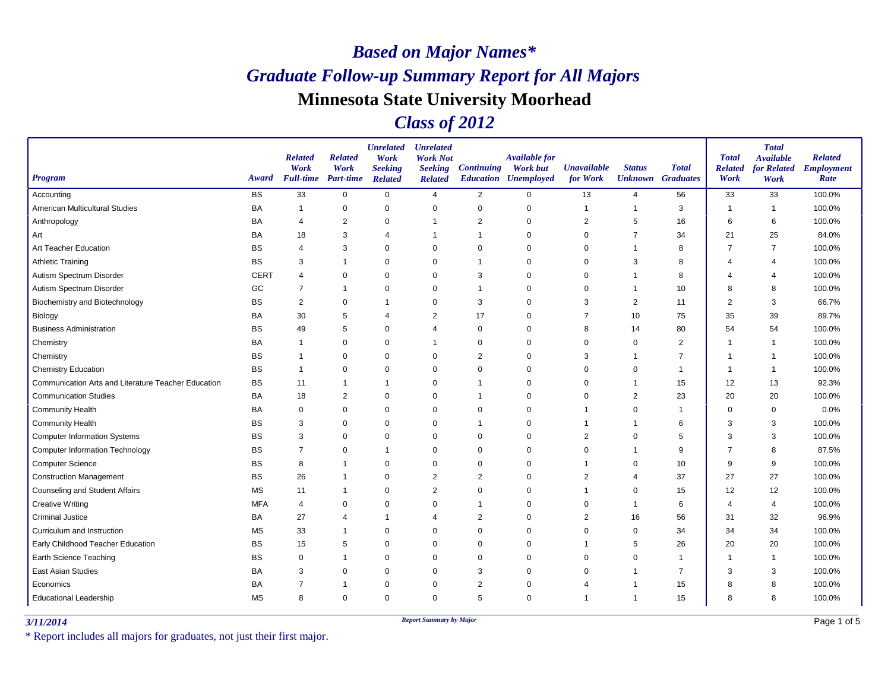### *Class of 2012*

| <b>Program</b>                                      | Award       | <b>Related</b><br>Work<br><b>Full-time</b> | <b>Related</b><br>Work<br><b>Part-time</b> | <b>Unrelated</b><br>Work<br><b>Seeking</b><br><b>Related</b> | <b>Unrelated</b><br><b>Work Not</b><br><b>Seeking</b><br><b>Related</b> | <b>Continuing</b> | <b>Available for</b><br><b>Work but</b><br><b>Education Unemployed</b> | <b>Unavailable</b><br>for Work | <b>Status</b>  | <b>Total</b><br><b>Unknown</b> Graduates | <b>Total</b><br><b>Related</b><br>Work | <b>Total</b><br><b>Available</b><br>for Related<br>Work | <b>Related</b><br><b>Employment</b><br>Rate |
|-----------------------------------------------------|-------------|--------------------------------------------|--------------------------------------------|--------------------------------------------------------------|-------------------------------------------------------------------------|-------------------|------------------------------------------------------------------------|--------------------------------|----------------|------------------------------------------|----------------------------------------|---------------------------------------------------------|---------------------------------------------|
| Accounting                                          | <b>BS</b>   | 33                                         | $\mathbf 0$                                | $\mathsf 0$                                                  | $\overline{4}$                                                          | 2                 | $\mathbf 0$                                                            | 13                             | $\overline{4}$ | 56                                       | 33                                     | 33                                                      | 100.0%                                      |
| American Multicultural Studies                      | BA          | $\overline{1}$                             | 0                                          | $\mathbf 0$                                                  | 0                                                                       | $\mathbf 0$       | $\Omega$                                                               | 1                              | $\mathbf{1}$   | 3                                        | $\overline{\phantom{a}}$               | $\overline{1}$                                          | 100.0%                                      |
| Anthropology                                        | BA          | 4                                          | $\overline{2}$                             | 0                                                            | $\overline{1}$                                                          | 2                 | $\Omega$                                                               | 2                              | 5              | 16                                       | 6                                      | 6                                                       | 100.0%                                      |
| Art                                                 | BA          | 18                                         | 3                                          | 4                                                            | -1                                                                      |                   | $\Omega$                                                               | 0                              | $\overline{7}$ | 34                                       | 21                                     | 25                                                      | 84.0%                                       |
| Art Teacher Education                               | <b>BS</b>   | $\overline{4}$                             | 3                                          | $\mathbf 0$                                                  | $\mathbf 0$                                                             | 0                 | $\Omega$                                                               | $\Omega$                       | $\overline{1}$ | 8                                        | 7                                      | $\overline{7}$                                          | 100.0%                                      |
| <b>Athletic Training</b>                            | <b>BS</b>   | 3                                          | $\mathbf 1$                                | $\mathbf 0$                                                  | $\mathbf 0$                                                             | 1                 | $\Omega$                                                               | 0                              | 3              | 8                                        | 4                                      | $\overline{4}$                                          | 100.0%                                      |
| Autism Spectrum Disorder                            | <b>CERT</b> | $\overline{4}$                             | $\mathbf 0$                                | $\mathbf 0$                                                  | $\mathbf 0$                                                             | 3                 | $\Omega$                                                               | $\Omega$                       | $\mathbf 1$    | 8                                        | 4                                      | 4                                                       | 100.0%                                      |
| Autism Spectrum Disorder                            | GC          | $\overline{7}$                             | $\mathbf 1$                                | $\mathbf 0$                                                  | $\mathbf 0$                                                             |                   | $\Omega$                                                               | $\Omega$                       | -1             | 10                                       | 8                                      | 8                                                       | 100.0%                                      |
| Biochemistry and Biotechnology                      | <b>BS</b>   | $\overline{2}$                             | 0                                          | $\mathbf 1$                                                  | 0                                                                       | 3                 | $\Omega$                                                               | 3                              | $\overline{2}$ | 11                                       | $\overline{2}$                         | 3                                                       | 66.7%                                       |
| Biology                                             | BA          | 30                                         | 5                                          | $\overline{4}$                                               | 2                                                                       | 17                | $\Omega$                                                               | $\overline{7}$                 | 10             | 75                                       | 35                                     | 39                                                      | 89.7%                                       |
| <b>Business Administration</b>                      | <b>BS</b>   | 49                                         | 5                                          | $\mathbf 0$                                                  | $\overline{4}$                                                          | $\mathbf 0$       | $\Omega$                                                               | 8                              | 14             | 80                                       | 54                                     | 54                                                      | 100.0%                                      |
| Chemistry                                           | BA          | $\mathbf 1$                                | 0                                          | 0                                                            | $\overline{1}$                                                          | 0                 | $\Omega$                                                               | $\Omega$                       | 0              | 2                                        |                                        | $\overline{1}$                                          | 100.0%                                      |
| Chemistry                                           | <b>BS</b>   | $\mathbf 1$                                | $\mathbf 0$                                | $\mathbf 0$                                                  | $\mathbf 0$                                                             | $\overline{2}$    | $\Omega$                                                               | 3                              | $\overline{1}$ | $\overline{7}$                           |                                        | -1                                                      | 100.0%                                      |
| <b>Chemistry Education</b>                          | <b>BS</b>   | $\mathbf{1}$                               | 0                                          | $\mathbf 0$                                                  | 0                                                                       | $\Omega$          | $\Omega$                                                               | 0                              | 0              | 1                                        |                                        | $\overline{1}$                                          | 100.0%                                      |
| Communication Arts and Literature Teacher Education | <b>BS</b>   | 11                                         | $\mathbf 1$                                | $\mathbf 1$                                                  | $\mathbf 0$                                                             |                   | $\Omega$                                                               | $\Omega$                       | $\overline{1}$ | 15                                       | 12                                     | 13                                                      | 92.3%                                       |
| <b>Communication Studies</b>                        | BA          | 18                                         | $\overline{2}$                             | $\pmb{0}$                                                    | $\mathbf 0$                                                             |                   | $\Omega$                                                               | 0                              | $\overline{2}$ | 23                                       | 20                                     | 20                                                      | 100.0%                                      |
| <b>Community Health</b>                             | BA          | 0                                          | 0                                          | $\mathbf 0$                                                  | 0                                                                       | $\mathbf 0$       | $\Omega$                                                               | 1                              | $\mathbf 0$    | $\mathbf{1}$                             | $\Omega$                               | 0                                                       | 0.0%                                        |
| <b>Community Health</b>                             | BS          | 3                                          | $\mathbf 0$                                | $\mathbf 0$                                                  | $\mathbf 0$                                                             | 1                 | $\Omega$                                                               | 1                              | $\overline{1}$ | 6                                        | 3                                      | 3                                                       | 100.0%                                      |
| <b>Computer Information Systems</b>                 | BS          | 3                                          | 0                                          | $\pmb{0}$                                                    | 0                                                                       | 0                 | $\Omega$                                                               | 2                              | 0              | 5                                        | 3                                      | 3                                                       | 100.0%                                      |
| <b>Computer Information Technology</b>              | <b>BS</b>   | $\overline{7}$                             | $\mathbf 0$                                | $\overline{1}$                                               | $\mathbf 0$                                                             | 0                 | $\Omega$                                                               | $\mathbf 0$                    | $\overline{1}$ | $9\,$                                    | 7                                      | 8                                                       | 87.5%                                       |
| <b>Computer Science</b>                             | BS          | 8                                          | -1                                         | $\mathbf 0$                                                  | $\mathbf 0$                                                             | $\Omega$          | $\Omega$                                                               | 1                              | 0              | 10                                       | 9                                      | 9                                                       | 100.0%                                      |
| <b>Construction Management</b>                      | <b>BS</b>   | 26                                         | $\mathbf 1$                                | $\mathbf 0$                                                  | $\overline{2}$                                                          | $\overline{2}$    | $\Omega$                                                               | 2                              | 4              | 37                                       | 27                                     | 27                                                      | 100.0%                                      |
| <b>Counseling and Student Affairs</b>               | <b>MS</b>   | 11                                         | $\mathbf 1$                                | $\mathbf 0$                                                  | 2                                                                       | 0                 | $\Omega$                                                               | 1                              | 0              | 15                                       | 12                                     | 12                                                      | 100.0%                                      |
| <b>Creative Writing</b>                             | <b>MFA</b>  | $\overline{4}$                             | 0                                          | 0                                                            | 0                                                                       |                   | 0                                                                      | 0                              | $\mathbf 1$    | 6                                        | 4                                      | 4                                                       | 100.0%                                      |
| <b>Criminal Justice</b>                             | BA          | 27                                         | 4                                          | $\overline{1}$                                               | $\overline{4}$                                                          | $\overline{2}$    | $\Omega$                                                               | $\overline{2}$                 | 16             | 56                                       | 31                                     | 32                                                      | 96.9%                                       |
| Curriculum and Instruction                          | <b>MS</b>   | 33                                         | $\mathbf 1$                                | $\pmb{0}$                                                    | 0                                                                       | $\Omega$          | $\Omega$                                                               | 0                              | 0              | 34                                       | 34                                     | 34                                                      | 100.0%                                      |
| Early Childhood Teacher Education                   | <b>BS</b>   | 15                                         | 5                                          | $\mathbf 0$                                                  | $\mathbf 0$                                                             | $\mathbf 0$       | $\Omega$                                                               | 1                              | 5              | 26                                       | 20                                     | 20                                                      | 100.0%                                      |
| <b>Earth Science Teaching</b>                       | BS          | $\mathbf 0$                                | $\mathbf 1$                                | $\mathbf 0$                                                  | $\mathbf 0$                                                             | $\Omega$          | $\Omega$                                                               | $\Omega$                       | $\mathbf 0$    | $\mathbf{1}$                             |                                        | $\overline{1}$                                          | 100.0%                                      |
| <b>East Asian Studies</b>                           | BA          | 3                                          | $\mathbf 0$                                | $\mathbf 0$                                                  | 0                                                                       | 3                 | $\Omega$                                                               | 0                              | -1             | $\overline{7}$                           | 3                                      | 3                                                       | 100.0%                                      |
| Economics                                           | BA          | $\overline{7}$                             | $\mathbf 1$                                | $\mathbf 0$                                                  | $\mathbf 0$                                                             | $\overline{2}$    | $\Omega$                                                               | 4                              | -1             | 15                                       | 8                                      | 8                                                       | 100.0%                                      |
| <b>Educational Leadership</b>                       | <b>MS</b>   | 8                                          | $\mathbf 0$                                | $\mathbf 0$                                                  | 0                                                                       | 5                 | $\Omega$                                                               | 1                              | $\overline{1}$ | 15                                       | 8                                      | 8                                                       | 100.0%                                      |

*3/11/2014 Report Summary by Major*

\* Report includes all majors for graduates, not just their first major.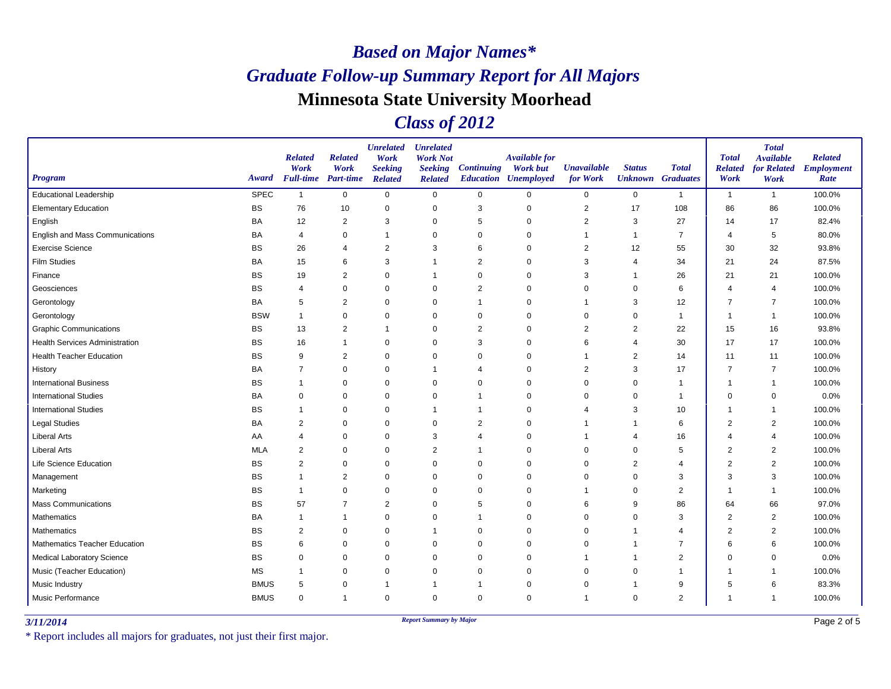### *Class of 2012*

| Program                               | Award       | <b>Related</b><br>Work<br><b>Full-time</b> Part-time | <b>Related</b><br>Work | <b>Unrelated</b><br>Work<br><b>Seeking</b><br><b>Related</b> | <b>Unrelated</b><br><b>Work Not</b><br><b>Seeking</b><br><b>Related</b> | <b>Continuing</b> | <b>Available for</b><br><b>Work but</b><br><b>Education Unemployed</b> | <b>Unavailable</b><br>for Work | <b>Status</b><br><b>Unknown</b> Graduates | <b>Total</b>   | <b>Total</b><br><b>Related</b><br>Work | <b>Total</b><br><b>Available</b><br>for Related<br>Work | <b>Related</b><br><b>Employment</b><br>Rate |
|---------------------------------------|-------------|------------------------------------------------------|------------------------|--------------------------------------------------------------|-------------------------------------------------------------------------|-------------------|------------------------------------------------------------------------|--------------------------------|-------------------------------------------|----------------|----------------------------------------|---------------------------------------------------------|---------------------------------------------|
| <b>Educational Leadership</b>         | <b>SPEC</b> | $\mathbf{1}$                                         | $\mathbf 0$            | $\mathbf 0$                                                  | $\mathsf 0$                                                             | $\mathbf 0$       | $\mathbf 0$                                                            | $\mathbf 0$                    | $\mathsf{O}$                              | $\mathbf{1}$   | $\overline{1}$                         | $\overline{1}$                                          | 100.0%                                      |
| <b>Elementary Education</b>           | <b>BS</b>   | 76                                                   | 10                     | 0                                                            | $\mathbf 0$                                                             | 3                 | $\mathbf 0$                                                            | $\overline{2}$                 | 17                                        | 108            | 86                                     | 86                                                      | 100.0%                                      |
| English                               | BA          | 12                                                   | 2                      | 3                                                            | 0                                                                       | 5                 | 0                                                                      | 2                              | 3                                         | 27             | 14                                     | 17                                                      | 82.4%                                       |
| English and Mass Communications       | <b>BA</b>   | $\overline{4}$                                       | 0                      | 1                                                            | $\mathbf 0$                                                             | $\mathbf 0$       | 0                                                                      |                                | 1                                         | $\overline{7}$ | 4                                      | 5                                                       | 80.0%                                       |
| <b>Exercise Science</b>               | <b>BS</b>   | 26                                                   | $\overline{4}$         | $\overline{2}$                                               | 3                                                                       | 6                 | $\Omega$                                                               | $\overline{2}$                 | 12                                        | 55             | 30                                     | 32                                                      | 93.8%                                       |
| <b>Film Studies</b>                   | BA          | 15                                                   | 6                      | 3                                                            | -1                                                                      | $\overline{2}$    | $\mathbf 0$                                                            | 3                              | 4                                         | 34             | 21                                     | 24                                                      | 87.5%                                       |
| Finance                               | <b>BS</b>   | 19                                                   | $\overline{2}$         | $\mathbf 0$                                                  |                                                                         | $\mathbf 0$       | $\Omega$                                                               | 3                              |                                           | 26             | 21                                     | 21                                                      | 100.0%                                      |
| Geosciences                           | <b>BS</b>   | $\overline{4}$                                       | $\mathbf 0$            | $\mathbf 0$                                                  | $\Omega$                                                                | $\overline{2}$    | $\Omega$                                                               | $\Omega$                       | $\Omega$                                  | 6              | $\boldsymbol{\Delta}$                  | $\overline{4}$                                          | 100.0%                                      |
| Gerontology                           | <b>BA</b>   | 5                                                    | $\overline{c}$         | 0                                                            | $\mathbf 0$                                                             | -1                | $\mathbf 0$                                                            | -1                             | 3                                         | 12             | $\overline{7}$                         | $\overline{7}$                                          | 100.0%                                      |
| Gerontology                           | <b>BSW</b>  | $\mathbf{1}$                                         | $\mathbf 0$            | $\mathbf 0$                                                  | $\mathbf 0$                                                             | 0                 | $\Omega$                                                               | 0                              | 0                                         | $\mathbf{1}$   | -1                                     | $\overline{1}$                                          | 100.0%                                      |
| <b>Graphic Communications</b>         | <b>BS</b>   | 13                                                   | $\overline{c}$         | 1                                                            | $\mathbf 0$                                                             | $\overline{2}$    | $\mathbf 0$                                                            | $\overline{2}$                 | $\overline{2}$                            | 22             | 15                                     | 16                                                      | 93.8%                                       |
| <b>Health Services Administration</b> | <b>BS</b>   | 16                                                   | $\overline{1}$         | $\mathbf 0$                                                  | $\Omega$                                                                | 3                 | $\Omega$                                                               | 6                              | $\overline{4}$                            | 30             | 17                                     | 17                                                      | 100.0%                                      |
| <b>Health Teacher Education</b>       | <b>BS</b>   | 9                                                    | $\overline{2}$         | $\mathbf 0$                                                  | $\mathbf 0$                                                             | $\mathbf 0$       | $\mathbf 0$                                                            | -1                             | 2                                         | 14             | 11                                     | 11                                                      | 100.0%                                      |
| History                               | BA          | $\overline{7}$                                       | $\mathbf 0$            | 0                                                            |                                                                         | $\overline{4}$    | $\Omega$                                                               | $\overline{2}$                 | 3                                         | 17             | $\overline{7}$                         | $\overline{7}$                                          | 100.0%                                      |
| <b>International Business</b>         | <b>BS</b>   | -1                                                   | $\mathbf 0$            | $\mathbf 0$                                                  | $\Omega$                                                                | $\Omega$          | $\Omega$                                                               | $\Omega$                       | $\Omega$                                  | $\mathbf{1}$   | -1                                     | -1                                                      | 100.0%                                      |
| <b>International Studies</b>          | <b>BA</b>   | $\mathbf 0$                                          | $\mathbf 0$            | $\mathbf 0$                                                  | $\mathbf 0$                                                             | -1                | $\Omega$                                                               | 0                              | $\mathbf 0$                               | $\mathbf{1}$   | $\mathbf 0$                            | $\mathbf 0$                                             | 0.0%                                        |
| <b>International Studies</b>          | <b>BS</b>   | -1                                                   | $\mathbf 0$            | $\mathbf 0$                                                  | $\mathbf 1$                                                             | $\overline{1}$    | $\mathbf 0$                                                            | 4                              | 3                                         | 10             | 1                                      | $\overline{1}$                                          | 100.0%                                      |
| <b>Legal Studies</b>                  | BA          | $\overline{2}$                                       | $\mathbf 0$            | $\mathbf 0$                                                  | $\mathbf 0$                                                             | $\overline{2}$    | $\Omega$                                                               |                                | -1                                        | 6              | $\overline{2}$                         | $\overline{2}$                                          | 100.0%                                      |
| <b>Liberal Arts</b>                   | AA          | $\overline{4}$                                       | 0                      | 0                                                            | 3                                                                       | $\overline{4}$    | $\Omega$                                                               |                                | $\overline{4}$                            | 16             | Δ                                      | $\overline{4}$                                          | 100.0%                                      |
| <b>Liberal Arts</b>                   | <b>MLA</b>  | 2                                                    | $\mathbf 0$            | $\mathbf 0$                                                  | 2                                                                       | $\overline{1}$    | $\mathbf 0$                                                            | $\mathbf 0$                    | $\mathbf 0$                               | 5              | $\overline{2}$                         | $\overline{2}$                                          | 100.0%                                      |
| Life Science Education                | <b>BS</b>   | $\overline{2}$                                       | $\mathbf 0$            | $\mathbf 0$                                                  | $\mathbf 0$                                                             | 0                 | $\Omega$                                                               | 0                              | $\overline{2}$                            | 4              | $\overline{2}$                         | $\overline{2}$                                          | 100.0%                                      |
| Management                            | <b>BS</b>   |                                                      | $\overline{2}$         | $\mathbf 0$                                                  | $\Omega$                                                                | $\Omega$          | $\Omega$                                                               | $\Omega$                       | $\Omega$                                  | 3              | 3                                      | 3                                                       | 100.0%                                      |
| Marketing                             | <b>BS</b>   | $\mathbf 1$                                          | $\mathbf 0$            | $\mathbf 0$                                                  | $\mathbf 0$                                                             | 0                 | $\Omega$                                                               | 1                              | 0                                         | 2              | -1                                     | $\overline{1}$                                          | 100.0%                                      |
| <b>Mass Communications</b>            | <b>BS</b>   | 57                                                   | $\overline{7}$         | $\overline{2}$                                               | 0                                                                       | 5                 | $\mathbf 0$                                                            | 6                              | 9                                         | 86             | 64                                     | 66                                                      | 97.0%                                       |
| <b>Mathematics</b>                    | BA          | -1                                                   | $\mathbf{1}$           | $\mathbf 0$                                                  | $\mathbf 0$                                                             | $\overline{1}$    | $\mathbf 0$                                                            | $\Omega$                       | $\mathbf 0$                               | 3              | $\overline{2}$                         | $\overline{2}$                                          | 100.0%                                      |
| Mathematics                           | <b>BS</b>   | $\overline{2}$                                       | 0                      | 0                                                            | -1                                                                      | 0                 | $\Omega$                                                               | 0                              | -1                                        | 4              | $\overline{2}$                         | 2                                                       | 100.0%                                      |
| Mathematics Teacher Education         | <b>BS</b>   | 6                                                    | $\mathbf 0$            | $\mathbf 0$                                                  | $\Omega$                                                                | $\mathbf 0$       | $\mathbf 0$                                                            | $\mathbf 0$                    | 1                                         | $\overline{7}$ | 6                                      | 6                                                       | 100.0%                                      |
| <b>Medical Laboratory Science</b>     | <b>BS</b>   | $\Omega$                                             | $\mathbf 0$            | $\mathbf 0$                                                  | $\Omega$                                                                | $\mathbf 0$       | $\Omega$                                                               |                                | -1                                        | 2              | $\Omega$                               | $\mathbf 0$                                             | 0.0%                                        |
| Music (Teacher Education)             | <b>MS</b>   | -1                                                   | 0                      | $\mathbf 0$                                                  | 0                                                                       | $\mathbf 0$       | $\mathbf 0$                                                            | 0                              | 0                                         | 1              | -1                                     | $\mathbf 1$                                             | 100.0%                                      |
| Music Industry                        | <b>BMUS</b> | 5                                                    | $\mathbf 0$            | 1                                                            | -1                                                                      | $\overline{1}$    | $\mathbf 0$                                                            | $\mathbf 0$                    | $\overline{1}$                            | 9              | 5                                      | 6                                                       | 83.3%                                       |
| Music Performance                     | <b>BMUS</b> | $\mathbf 0$                                          | $\mathbf{1}$           | $\mathbf 0$                                                  | $\Omega$                                                                | 0                 | 0                                                                      | 1                              | $\Omega$                                  | $\overline{2}$ | 1                                      | $\overline{1}$                                          | 100.0%                                      |

*3/11/2014 Report Summary by Major*

\* Report includes all majors for graduates, not just their first major.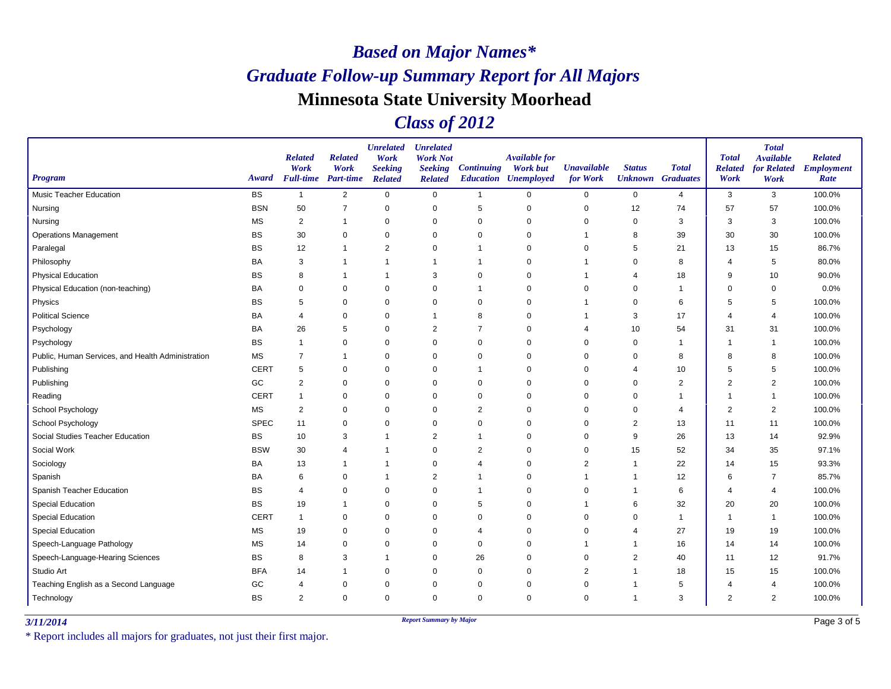### *Class of 2012*

| <b>Program</b>                                    | Award       | <b>Related</b><br>Work<br><b>Full-time</b> Part-time | <b>Related</b><br>Work | <b>Unrelated</b><br>Work<br><b>Seeking</b><br><b>Related</b> | <b>Unrelated</b><br><b>Work Not</b><br><b>Seeking</b><br><b>Related</b> | <b>Continuing</b> | <b>Available for</b><br><b>Work but</b><br><b>Education Unemployed</b> | <b>Unavailable</b><br>for Work | <b>Status</b><br><b>Unknown</b> | <b>Total</b><br><b>Graduates</b> | <b>Total</b><br><b>Related</b><br>Work | <b>Total</b><br><b>Available</b><br>for Related<br>Work | <b>Related</b><br><b>Employment</b><br>Rate |
|---------------------------------------------------|-------------|------------------------------------------------------|------------------------|--------------------------------------------------------------|-------------------------------------------------------------------------|-------------------|------------------------------------------------------------------------|--------------------------------|---------------------------------|----------------------------------|----------------------------------------|---------------------------------------------------------|---------------------------------------------|
| <b>Music Teacher Education</b>                    | <b>BS</b>   | $\overline{1}$                                       | $\overline{2}$         | $\mathbf 0$                                                  | $\mathbf 0$                                                             | $\mathbf{1}$      | $\mathbf 0$                                                            | $\mathbf 0$                    | $\mathbf 0$                     | $\overline{4}$                   | 3                                      | 3                                                       | 100.0%                                      |
| Nursing                                           | <b>BSN</b>  | 50                                                   | $\overline{7}$         | $\mathbf 0$                                                  | 0                                                                       | 5                 | $\mathbf 0$                                                            | 0                              | 12                              | 74                               | 57                                     | 57                                                      | 100.0%                                      |
| Nursing                                           | <b>MS</b>   | $\overline{2}$                                       | $\mathbf{1}$           | $\mathbf 0$                                                  | 0                                                                       | $\mathbf 0$       | $\Omega$                                                               | $\Omega$                       | $\mathbf 0$                     | 3                                | 3                                      | 3                                                       | 100.0%                                      |
| <b>Operations Management</b>                      | <b>BS</b>   | 30                                                   | $\mathbf 0$            | $\mathbf 0$                                                  | $\pmb{0}$                                                               | $\mathbf 0$       | $\Omega$                                                               |                                | 8                               | 39                               | 30                                     | 30                                                      | 100.0%                                      |
| Paralegal                                         | <b>BS</b>   | 12                                                   | -1                     | $\overline{2}$                                               | 0                                                                       | -1                | $\Omega$                                                               | 0                              | 5                               | 21                               | 13                                     | 15                                                      | 86.7%                                       |
| Philosophy                                        | BA          | 3                                                    | $\mathbf 1$            | $\overline{1}$                                               | $\overline{1}$                                                          | $\overline{1}$    | $\Omega$                                                               | 1                              | $\Omega$                        | 8                                | $\overline{4}$                         | 5                                                       | 80.0%                                       |
| <b>Physical Education</b>                         | BS          | 8                                                    | $\mathbf 1$            | $\overline{1}$                                               | 3                                                                       | 0                 | $\Omega$                                                               | 1                              | $\overline{4}$                  | 18                               | 9                                      | 10                                                      | 90.0%                                       |
| Physical Education (non-teaching)                 | BA          | $\mathbf 0$                                          | $\mathbf 0$            | $\mathbf 0$                                                  | $\mathbf 0$                                                             | 1                 | $\mathbf 0$                                                            | $\mathbf 0$                    | $\mathbf 0$                     | $\mathbf{1}$                     | $\Omega$                               | 0                                                       | 0.0%                                        |
| Physics                                           | <b>BS</b>   | 5                                                    | $\mathbf 0$            | $\mathbf 0$                                                  | $\mathbf 0$                                                             | 0                 | $\Omega$                                                               | 1                              | $\mathbf 0$                     | 6                                | 5                                      | 5                                                       | 100.0%                                      |
| <b>Political Science</b>                          | <b>BA</b>   | $\overline{4}$                                       | 0                      | 0                                                            | $\overline{1}$                                                          | 8                 | 0                                                                      | 1                              | 3                               | 17                               | 4                                      | $\overline{4}$                                          | 100.0%                                      |
| Psychology                                        | BA          | 26                                                   | 5                      | 0                                                            | $\overline{2}$                                                          | $\overline{7}$    | 0                                                                      | 4                              | 10                              | 54                               | 31                                     | 31                                                      | 100.0%                                      |
| Psychology                                        | <b>BS</b>   | $\overline{1}$                                       | $\Omega$               | $\mathbf 0$                                                  | $\mathbf 0$                                                             | $\mathbf 0$       | $\Omega$                                                               | $\Omega$                       | $\mathbf 0$                     | $\mathbf 1$                      |                                        | $\overline{1}$                                          | 100.0%                                      |
| Public, Human Services, and Health Administration | <b>MS</b>   | $\overline{7}$                                       | $\mathbf 1$            | $\mathbf 0$                                                  | $\pmb{0}$                                                               | $\mathbf 0$       | $\Omega$                                                               | $\mathbf 0$                    | $\mathbf 0$                     | 8                                | 8                                      | 8                                                       | 100.0%                                      |
| Publishing                                        | <b>CERT</b> | 5                                                    | 0                      | $\mathbf 0$                                                  | 0                                                                       | -1                | $\Omega$                                                               | 0                              | $\overline{4}$                  | 10                               | 5                                      | 5                                                       | 100.0%                                      |
| Publishing                                        | GC          | $\sqrt{2}$                                           | $\mathbf 0$            | $\Omega$                                                     | $\mathbf 0$                                                             | $\Omega$          | $\Omega$                                                               | $\Omega$                       | $\mathbf 0$                     | $\overline{c}$                   | $\overline{2}$                         | $\overline{2}$                                          | 100.0%                                      |
| Reading                                           | <b>CERT</b> | $\overline{1}$                                       | 0                      | $\mathbf 0$                                                  | $\mathbf 0$                                                             | 0                 | $\Omega$                                                               | $\Omega$                       | 0                               | $\mathbf 1$                      | -1                                     | $\overline{1}$                                          | 100.0%                                      |
| School Psychology                                 | <b>MS</b>   | $\overline{2}$                                       | $\pmb{0}$              | $\mathbf 0$                                                  | $\pmb{0}$                                                               | $\overline{c}$    | 0                                                                      | 0                              | 0                               | 4                                | $\overline{2}$                         | $\overline{2}$                                          | 100.0%                                      |
| School Psychology                                 | <b>SPEC</b> | 11                                                   | $\mathbf 0$            | $\mathbf 0$                                                  | $\mathbf 0$                                                             | 0                 | $\Omega$                                                               | $\Omega$                       | 2                               | 13                               | 11                                     | 11                                                      | 100.0%                                      |
| Social Studies Teacher Education                  | <b>BS</b>   | 10                                                   | 3                      | $\overline{1}$                                               | $\overline{2}$                                                          | -1                | $\Omega$                                                               | $\mathbf 0$                    | 9                               | 26                               | 13                                     | 14                                                      | 92.9%                                       |
| Social Work                                       | <b>BSW</b>  | 30                                                   | $\overline{4}$         | $\mathbf 1$                                                  | $\pmb{0}$                                                               | $\overline{c}$    | $\Omega$                                                               | 0                              | 15                              | 52                               | 34                                     | 35                                                      | 97.1%                                       |
| Sociology                                         | <b>BA</b>   | 13                                                   | $\mathbf{1}$           | $\overline{1}$                                               | $\mathbf 0$                                                             | 4                 | $\Omega$                                                               | $\overline{2}$                 | $\mathbf{1}$                    | 22                               | 14                                     | 15                                                      | 93.3%                                       |
| Spanish                                           | BA          | 6                                                    | $\mathbf 0$            | $\mathbf 1$                                                  | $\overline{2}$                                                          |                   | $\mathbf 0$                                                            |                                |                                 | 12                               | 6                                      | $\overline{7}$                                          | 85.7%                                       |
| <b>Spanish Teacher Education</b>                  | <b>BS</b>   | $\overline{4}$                                       | 0                      | 0                                                            | 0                                                                       | -1                | $\mathbf 0$                                                            | 0                              | -1                              | 6                                | 4                                      | $\overline{4}$                                          | 100.0%                                      |
| <b>Special Education</b>                          | <b>BS</b>   | 19                                                   | $\mathbf 1$            | $\mathbf 0$                                                  | $\mathbf 0$                                                             | 5                 | $\mathbf 0$                                                            | 1                              | 6                               | 32                               | 20                                     | 20                                                      | 100.0%                                      |
| <b>Special Education</b>                          | <b>CERT</b> | $\overline{1}$                                       | 0                      | 0                                                            | 0                                                                       | 0                 | $\mathbf 0$                                                            | 0                              | 0                               | $\overline{1}$                   | $\overline{\phantom{a}}$               | $\overline{\mathbf{1}}$                                 | 100.0%                                      |
| <b>Special Education</b>                          | <b>MS</b>   | 19                                                   | $\pmb{0}$              | $\mathbf 0$                                                  | $\pmb{0}$                                                               | 4                 | $\mathbf 0$                                                            | 0                              | $\overline{4}$                  | 27                               | 19                                     | 19                                                      | 100.0%                                      |
| Speech-Language Pathology                         | <b>MS</b>   | 14                                                   | $\mathbf 0$            | $\mathbf 0$                                                  | $\mathbf 0$                                                             | $\mathbf 0$       | $\Omega$                                                               | 1                              | $\overline{1}$                  | 16                               | 14                                     | 14                                                      | 100.0%                                      |
| Speech-Language-Hearing Sciences                  | <b>BS</b>   | 8                                                    | 3                      | $\overline{1}$                                               | $\mathbf 0$                                                             | 26                | $\Omega$                                                               | $\mathbf 0$                    | 2                               | 40                               | 11                                     | 12                                                      | 91.7%                                       |
| Studio Art                                        | <b>BFA</b>  | 14                                                   | -1                     | $\mathbf 0$                                                  | 0                                                                       | 0                 | $\mathbf 0$                                                            | $\overline{2}$                 | $\overline{1}$                  | 18                               | 15                                     | 15                                                      | 100.0%                                      |
| Teaching English as a Second Language             | GC          | $\overline{4}$                                       | 0                      | $\Omega$                                                     | $\mathbf 0$                                                             | $\mathbf 0$       | $\Omega$                                                               | 0                              | $\overline{1}$                  | 5                                | $\overline{4}$                         | $\overline{4}$                                          | 100.0%                                      |
| Technology                                        | <b>BS</b>   | $\overline{2}$                                       | $\mathbf 0$            | $\mathbf 0$                                                  | $\mathbf 0$                                                             | $\mathbf 0$       | $\Omega$                                                               | $\Omega$                       | $\mathbf{1}$                    | 3                                | $\overline{2}$                         | $\overline{2}$                                          | 100.0%                                      |

*3/11/2014 Report Summary by Major*

\* Report includes all majors for graduates, not just their first major.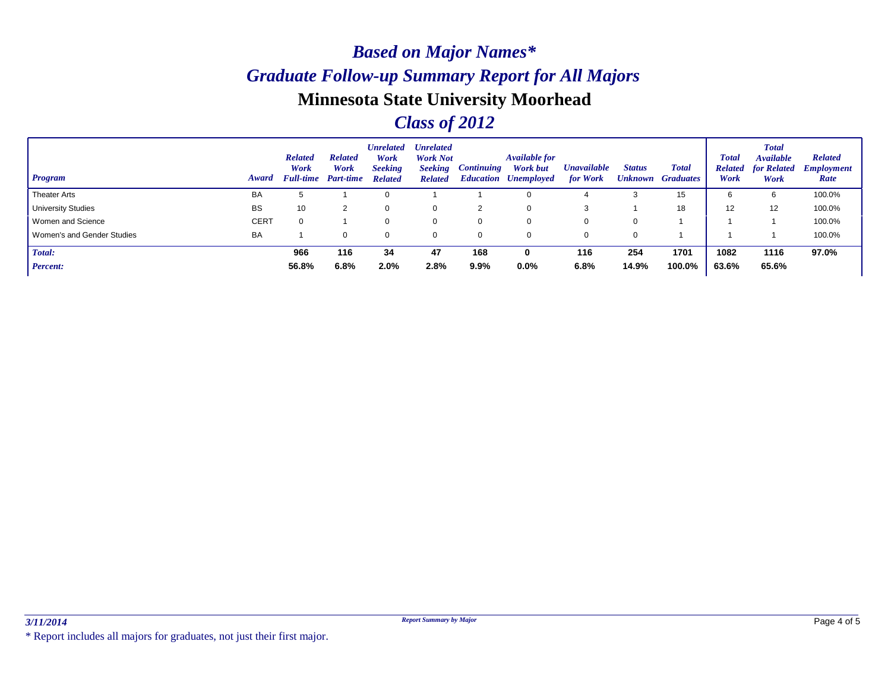### *Class of 2012*

| <b>Program</b>             | Award       | <b>Related</b><br>Work<br><b>Full-time</b> | <b>Related</b><br>Work<br>Part-time | <b>Unrelated</b><br>Work<br><b>Seeking</b><br><b>Related</b> | <b>Unrelated</b><br><b>Work Not</b><br><b>Seeking</b><br><b>Related</b> | <i>Continuing</i> | <b>Available for</b><br>Work but<br><b>Education Unemployed</b> | <b><i>Unavailable</i></b><br>for Work | <b>Status</b> | <b>Total</b><br><b>Unknown Graduates</b> | <b>Total</b><br><b>Related</b><br>Work | <b>Total</b><br><b>Available</b><br>for Related<br>Work | <b>Related</b><br><b>Employment</b><br>Rate |
|----------------------------|-------------|--------------------------------------------|-------------------------------------|--------------------------------------------------------------|-------------------------------------------------------------------------|-------------------|-----------------------------------------------------------------|---------------------------------------|---------------|------------------------------------------|----------------------------------------|---------------------------------------------------------|---------------------------------------------|
| Theater Arts               | BA          |                                            |                                     |                                                              |                                                                         |                   |                                                                 |                                       |               | 15                                       | 6                                      | 6                                                       | 100.0%                                      |
| University Studies         | <b>BS</b>   | 10                                         | 2                                   | 0                                                            | 0                                                                       | 2                 |                                                                 |                                       |               | 18                                       | 12                                     | 12                                                      | 100.0%                                      |
| Women and Science          | <b>CERT</b> |                                            |                                     | $\Omega$                                                     | 0                                                                       |                   |                                                                 | 0                                     | 0             |                                          |                                        |                                                         | 100.0%                                      |
| Women's and Gender Studies | BA          |                                            | 0                                   | 0                                                            | 0                                                                       |                   |                                                                 | 0                                     | $\mathbf 0$   |                                          |                                        |                                                         | 100.0%                                      |
| Total:                     |             | 966                                        | 116                                 | 34                                                           | 47                                                                      | 168               | 0                                                               | 116                                   | 254           | 1701                                     | 1082                                   | 1116                                                    | 97.0%                                       |
| <b>Percent:</b>            |             | 56.8%                                      | 6.8%                                | 2.0%                                                         | 2.8%                                                                    | 9.9%              | 0.0%                                                            | 6.8%                                  | 14.9%         | 100.0%                                   | 63.6%                                  | 65.6%                                                   |                                             |